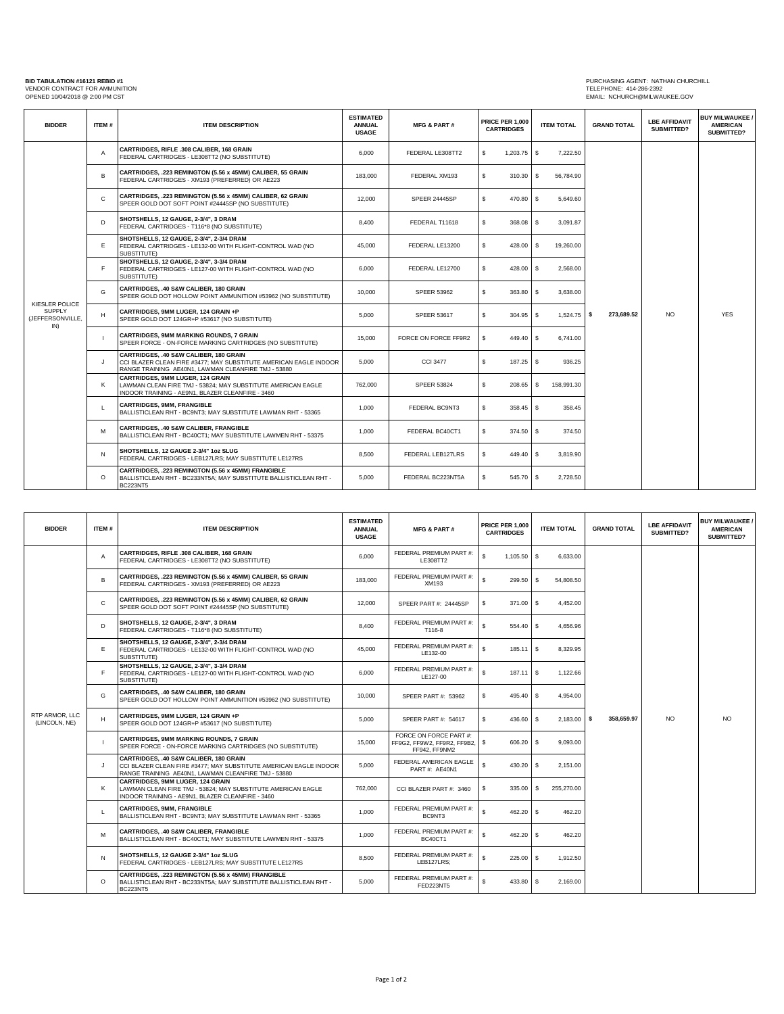PURCHASING AGENT: NATHAN CHURCHILL<br>TELEPHONE: 414-286-2392<br>EMAIL: NCHURCH@MILWAUKEE.GOV VENDOR CONTRACT FOR AMMUNITION TELEPHONE: 414-286-2392 OPENED 10/04/2018 @ 2:00 PM CST EMAIL: NCHURCH@MILWAUKEE.GOV

| <b>BIDDER</b>                                              | ITEM#        | <b>ITEM DESCRIPTION</b>                                                                                                                                            | <b>ESTIMATED</b><br><b>ANNUAL</b><br><b>USAGE</b> | <b>MFG &amp; PART#</b> | <b>PRICE PER 1,000</b><br><b>CARTRIDGES</b> | <b>ITEM TOTAL</b> | <b>GRAND TOTAL</b> | <b>LBE AFFIDAVIT</b><br>SUBMITTED? | <b>BUY MILWAUKEE /</b><br><b>AMERICAN</b><br>SUBMITTED? |
|------------------------------------------------------------|--------------|--------------------------------------------------------------------------------------------------------------------------------------------------------------------|---------------------------------------------------|------------------------|---------------------------------------------|-------------------|--------------------|------------------------------------|---------------------------------------------------------|
| KIESLER POLICE<br><b>SUPPLY</b><br>(JEFFERSONVILLE,<br>IN) | A            | CARTRIDGES, RIFLE .308 CALIBER, 168 GRAIN<br>FEDERAL CARTRIDGES - LE308TT2 (NO SUBSTITUTE)                                                                         | 6,000                                             | FEDERAL LE308TT2       | s<br>$1,203.75$ \$                          | 7,222.50          |                    |                                    | <b>YES</b>                                              |
|                                                            | В            | CARTRIDGES, .223 REMINGTON (5.56 x 45MM) CALIBER, 55 GRAIN<br>FEDERAL CARTRIDGES - XM193 (PREFERRED) OR AE223                                                      | 183,000                                           | FEDERAL XM193          | s<br>310.30                                 | S<br>56,784.90    |                    | NO.                                |                                                         |
|                                                            | C            | CARTRIDGES, .223 REMINGTON (5.56 x 45MM) CALIBER, 62 GRAIN<br>SPEER GOLD DOT SOFT POINT #24445SP (NO SUBSTITUTE)                                                   | 12,000                                            | SPEER 24445SP          | s<br>470.80 \$                              | 5,649.60          |                    |                                    |                                                         |
|                                                            | D            | SHOTSHELLS, 12 GAUGE, 2-3/4", 3 DRAM<br>FEDERAL CARTRIDGES - T116*8 (NO SUBSTITUTE)                                                                                | 8,400                                             | FEDERAL T11618         | s<br>368.08 \$                              | 3,091.87          |                    |                                    |                                                         |
|                                                            | E            | SHOTSHELLS, 12 GAUGE, 2-3/4", 2-3/4 DRAM<br>FEDERAL CARTRIDGES - LE132-00 WITH FLIGHT-CONTROL WAD (NO<br>SUBSTITUTE)                                               | 45,000                                            | FEDERAL LE13200        | s<br>428.00 S                               | 19,260.00         |                    |                                    |                                                         |
|                                                            | F.           | SHOTSHELLS, 12 GAUGE, 2-3/4", 3-3/4 DRAM<br>FEDERAL CARTRIDGES - LE127-00 WITH FLIGHT-CONTROL WAD (NO<br>SUBSTITUTE)                                               | 6,000                                             | FEDERAL LE12700        | s<br>428.00 \$                              | 2,568.00          |                    |                                    |                                                         |
|                                                            | G            | CARTRIDGES, .40 S&W CALIBER, 180 GRAIN<br>SPEER GOLD DOT HOLLOW POINT AMMUNITION #53962 (NO SUBSTITUTE)                                                            | 10,000                                            | <b>SPEER 53962</b>     | s<br>363.80 \$                              | 3,638.00          |                    |                                    |                                                         |
|                                                            | н            | CARTRIDGES, 9MM LUGER, 124 GRAIN +P<br>SPEER GOLD DOT 124GR+P #53617 (NO SUBSTITUTE)                                                                               | 5.000                                             | <b>SPEER 53617</b>     | s<br>$304.95$ \$                            | $1,524.75$ \$     | 273,689.52         |                                    |                                                         |
|                                                            | $\mathbf{I}$ | <b>CARTRIDGES, 9MM MARKING ROUNDS, 7 GRAIN</b><br>SPEER FORCE - ON-FORCE MARKING CARTRIDGES (NO SUBSTITUTE)                                                        | 15,000                                            | FORCE ON FORCE FF9R2   | s<br>449.40 \$                              | 6,741.00          |                    |                                    |                                                         |
|                                                            | J            | CARTRIDGES. .40 S&W CALIBER. 180 GRAIN<br>CCI BLAZER CLEAN FIRE #3477; MAY SUBSTITUTE AMERICAN EAGLE INDOOR<br>RANGE TRAINING AE40N1, LAWMAN CLEANFIRE TMJ - 53880 | 5,000                                             | <b>CCI 3477</b>        | s<br>187.25 \$                              | 936.25            |                    |                                    |                                                         |
|                                                            | Κ            | CARTRIDGES, 9MM LUGER, 124 GRAIN<br>LAWMAN CLEAN FIRE TMJ - 53824; MAY SUBSTITUTE AMERICAN EAGLE<br>INDOOR TRAINING - AE9N1, BLAZER CLEANFIRE - 3460               | 762,000                                           | <b>SPEER 53824</b>     | s<br>208.65                                 | s<br>158,991.30   |                    |                                    |                                                         |
|                                                            | L            | <b>CARTRIDGES, 9MM, FRANGIBLE</b><br>BALLISTICLEAN RHT - BC9NT3; MAY SUBSTITUTE LAWMAN RHT - 53365                                                                 | 1,000                                             | FEDERAL BC9NT3         | s<br>358.45 \$                              | 358.45            |                    |                                    |                                                         |
|                                                            | M            | CARTRIDGES, .40 S&W CALIBER, FRANGIBLE<br>BALLISTICLEAN RHT - BC40CT1; MAY SUBSTITUTE LAWMEN RHT - 53375                                                           | 1,000                                             | FEDERAL BC40CT1        | s<br>374.50 \$                              | 374.50            |                    |                                    |                                                         |
|                                                            | N            | <b>SHOTSHELLS, 12 GAUGE 2-3/4" 1oz SLUG</b><br>FEDERAL CARTRIDGES - LEB127LRS; MAY SUBSTITUTE LE127RS                                                              | 8,500                                             | FEDERAL LEB127LRS      | s<br>449.40 \$                              | 3,819.90          |                    |                                    |                                                         |
|                                                            | $\circ$      | CARTRIDGES, .223 REMINGTON (5.56 x 45MM) FRANGIBLE<br>BALLISTICLEAN RHT - BC233NT5A: MAY SUBSTITUTE BALLISTICLEAN RHT -<br><b>BC223NT5</b>                         | 5.000                                             | FEDERAL BC223NT5A      | s<br>545.70 \$                              | 2,728.50          |                    |                                    |                                                         |

| <b>BIDDER</b>                   | ITEM#        | <b>ITEM DESCRIPTION</b>                                                                                                                                            | <b>ESTIMATED</b><br><b>ANNUAL</b><br><b>USAGE</b> | <b>MFG &amp; PART#</b>                                                 |    | <b>PRICE PER 1,000</b><br><b>CARTRIDGES</b> | <b>ITEM TOTAL</b>    | <b>GRAND TOTAL</b> | <b>LBE AFFIDAVIT</b><br>SUBMITTED? | <b>BUY MILWAUKEE /</b><br><b>AMERICAN</b><br>SUBMITTED? |
|---------------------------------|--------------|--------------------------------------------------------------------------------------------------------------------------------------------------------------------|---------------------------------------------------|------------------------------------------------------------------------|----|---------------------------------------------|----------------------|--------------------|------------------------------------|---------------------------------------------------------|
| RTP ARMOR. LLC<br>(LINCOLN, NE) | $\mathsf{A}$ | CARTRIDGES, RIFLE .308 CALIBER, 168 GRAIN<br>FEDERAL CARTRIDGES - LE308TT2 (NO SUBSTITUTE)                                                                         | 6.000                                             | FEDERAL PREMIUM PART #:<br>LE308TT2                                    | s  | $1,105.50$ \$                               | 6.633.00             | 358,659.97         | NO.                                | NO.                                                     |
|                                 | В            | CARTRIDGES, .223 REMINGTON (5.56 x 45MM) CALIBER, 55 GRAIN<br>FEDERAL CARTRIDGES - XM193 (PREFERRED) OR AE223                                                      | 183,000                                           | FEDERAL PREMIUM PART #:<br>XM193                                       | Ś  | 299.50                                      | - S<br>54,808.50     |                    |                                    |                                                         |
|                                 | C            | CARTRIDGES, .223 REMINGTON (5.56 x 45MM) CALIBER, 62 GRAIN<br>SPEER GOLD DOT SOFT POINT #24445SP (NO SUBSTITUTE)                                                   | 12,000                                            | SPEER PART #: 24445SP                                                  | s  | 371.00                                      | <b>S</b><br>4,452.00 |                    |                                    |                                                         |
|                                 | D            | SHOTSHELLS, 12 GAUGE, 2-3/4", 3 DRAM<br>FEDERAL CARTRIDGES - T116*8 (NO SUBSTITUTE)                                                                                | 8,400                                             | FEDERAL PREMIUM PART #:<br>T116-8                                      | s  | 554.40 \$                                   | 4,656.96             |                    |                                    |                                                         |
|                                 | E.           | SHOTSHELLS, 12 GAUGE, 2-3/4", 2-3/4 DRAM<br>FEDERAL CARTRIDGES - LE132-00 WITH FLIGHT-CONTROL WAD (NO<br>SUBSTITUTE)                                               | 45.000                                            | FEDERAL PREMIUM PART #:<br>LE132-00                                    | s  | $185.11$ S                                  | 8,329.95             |                    |                                    |                                                         |
|                                 | F            | SHOTSHELLS, 12 GAUGE, 2-3/4", 3-3/4 DRAM<br>FEDERAL CARTRIDGES - LE127-00 WITH FLIGHT-CONTROL WAD (NO<br>SUBSTITUTE)                                               | 6,000                                             | FEDERAL PREMIUM PART #:<br>LE127-00                                    | s  | $187.11$ \$                                 | 1,122.66             |                    |                                    |                                                         |
|                                 | G            | CARTRIDGES, .40 S&W CALIBER, 180 GRAIN<br>SPEER GOLD DOT HOLLOW POINT AMMUNITION #53962 (NO SUBSTITUTE)                                                            | 10,000                                            | SPEER PART #: 53962                                                    | s  | 495.40                                      | -S<br>4,954.00       |                    |                                    |                                                         |
|                                 | H            | CARTRIDGES, 9MM LUGER, 124 GRAIN +P<br>SPEER GOLD DOT 124GR+P #53617 (NO SUBSTITUTE)                                                                               | 5,000                                             | SPEER PART #: 54617                                                    | s  | 436.60                                      | \$<br>$2,183.00$ \$  |                    |                                    |                                                         |
|                                 |              | CARTRIDGES, 9MM MARKING ROUNDS, 7 GRAIN<br>SPEER FORCE - ON-FORCE MARKING CARTRIDGES (NO SUBSTITUTE)                                                               | 15,000                                            | FORCE ON FORCE PART #:<br>FF9G2, FF9W2, FF9R2, FF9B2,<br>FF942, FF9NM2 | s  | 606.20 \$                                   | 9,093.00             |                    |                                    |                                                         |
|                                 | J            | CARTRIDGES, .40 S&W CALIBER, 180 GRAIN<br>CCI BLAZER CLEAN FIRE #3477; MAY SUBSTITUTE AMERICAN EAGLE INDOOR<br>RANGE TRAINING AE40N1, LAWMAN CLEANFIRE TMJ - 53880 | 5,000                                             | FEDERAL AMERICAN EAGLE<br>PART#: AE40N1                                | s  | 430.20                                      | \$<br>2,151.00       |                    |                                    |                                                         |
|                                 | K            | <b>CARTRIDGES, 9MM LUGER, 124 GRAIN</b><br>LAWMAN CLEAN FIRE TMJ - 53824; MAY SUBSTITUTE AMERICAN EAGLE<br>INDOOR TRAINING - AE9N1, BLAZER CLEANFIRE - 3460        | 762.000                                           | CCI BLAZER PART #: 3460                                                | s  | 335.00                                      | s<br>255,270.00      |                    |                                    |                                                         |
|                                 | L.           | <b>CARTRIDGES, 9MM, FRANGIBLE</b><br>BALLISTICLEAN RHT - BC9NT3: MAY SUBSTITUTE LAWMAN RHT - 53365                                                                 | 1.000                                             | FEDERAL PREMIUM PART #:<br>BC9NT3                                      | s  | 462.20 \$                                   | 462.20               |                    |                                    |                                                         |
|                                 | M            | CARTRIDGES, .40 S&W CALIBER, FRANGIBLE<br>BALLISTICLEAN RHT - BC40CT1; MAY SUBSTITUTE LAWMEN RHT - 53375                                                           | 1,000                                             | FEDERAL PREMIUM PART #:<br><b>BC40CT1</b>                              | s. | 462.20                                      | \$<br>462.20         |                    |                                    |                                                         |
|                                 | N            | SHOTSHELLS, 12 GAUGE 2-3/4" 1oz SLUG<br>FEDERAL CARTRIDGES - LEB127LRS: MAY SUBSTITUTE LE127RS                                                                     | 8,500                                             | FEDERAL PREMIUM PART #:<br>LEB127LRS:                                  | Ś  | 225.00                                      | \$<br>1,912.50       |                    |                                    |                                                         |
|                                 | $\circ$      | CARTRIDGES, .223 REMINGTON (5.56 x 45MM) FRANGIBLE<br>BALLISTICLEAN RHT - BC233NT5A: MAY SUBSTITUTE BALLISTICLEAN RHT -<br><b>BC223NT5</b>                         | 5,000                                             | FEDERAL PREMIUM PART #:<br><b>FED223NT5</b>                            | s  | 433.80                                      | - \$<br>2,169.00     |                    |                                    |                                                         |